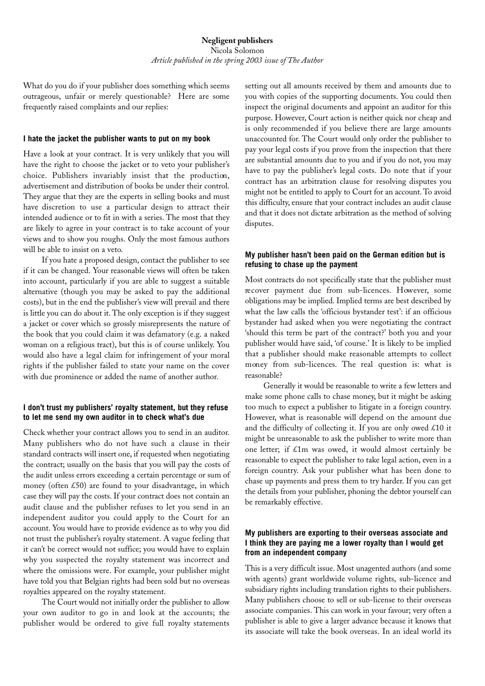What do you do if your publisher does something which seems outrageous, unfair or merely questionable? Here are some frequently raised complaints and our replies:

## **I hate the jacket the publisher wants to put on my book**

Have a look at your contract. It is very unlikely that you will have the right to choose the jacket or to veto your publisher's choice. Publishers invariably insist that the production, advertisement and distribution of books be under their control. They argue that they are the experts in selling books and must have discretion to use a particular design to attract their intended audience or to fit in with a series. The most that they are likely to agree in your contract is to take account of your views and to show you roughs. Only the most famous authors will be able to insist on a veto.

If you hate a proposed design, contact the publisher to see if it can be changed. Your reasonable views will often be taken into account, particularly if you are able to suggest a suitable alternative (though you may be asked to pay the additional costs), but in the end the publisher's view will prevail and there is little you can do about it. The only exception is if they suggest a jacket or cover which so grossly misrepresents the nature of the book that you could claim it was defamatory (e.g. a naked woman on a religious tract), but this is of course unlikely. You would also have a legal claim for infringement of your moral rights if the publisher failed to state your name on the cover with due prominence or added the name of another author.

## **I don't trust my publishers' royalty statement, but they refuse to let me send my own auditor in to check what's due**

Check whether your contract allows you to send in an auditor. Many publishers who do not have such a clause in their standard contracts will insert one, if requested when negotiating the contract; usually on the basis that you will pay the costs of the audit unless errors exceeding a certain percentage or sum of money (often £50) are found to your disadvantage, in which case they will pay the costs. If your contract does not contain an audit clause and the publisher refuses to let you send in an independent auditor you could apply to the Court for an account. You would have to provide evidence as to why you did not trust the publisher's royalty statement. A vague feeling that it can't be correct would not suffice; you would have to explain why you suspected the royalty statement was incorrect and where the omissions were. For example, your publisher might have told you that Belgian rights had been sold but no overseas royalties appeared on the royalty statement.

The Court would not initially order the publisher to allow your own auditor to go in and look at the accounts; the publisher would be ordered to give full royalty statements

setting out all amounts received by them and amounts due to you with copies of the supporting documents. You could then inspect the original documents and appoint an auditor for this purpose. However, Court action is neither quick nor cheap and is only recommended if you believe there are large amounts unaccounted for. The Court would only order the publisher to pay your legal costs if you prove from the inspection that there are substantial amounts due to you and if you do not, you may have to pay the publisher's legal costs. Do note that if your contract has an arbitration clause for resolving disputes you might not be entitled to apply to Court for an account. To avoid this difficulty, ensure that your contract includes an audit clause and that it does not dictate arbitration as the method of solving disputes.

## **My publisher hasn't been paid on the German edition but is refusing to chase up the payment**

Most contracts do not specifically state that the publisher must recover payment due from sub-licences. However, some obligations may be implied. Implied terms are best described by what the law calls the 'officious bystander test': if an officious bystander had asked when you were negotiating the contract 'should this term be part of the contract?' both you and your publisher would have said, 'of course.' It is likely to be implied that a publisher should make reasonable attempts to collect money from sub-licences. The real question is: what is reasonable?

Generally it would be reasonable to write a few letters and make some phone calls to chase money, but it might be asking too much to expect a publisher to litigate in a foreign country. However, what is reasonable will depend on the amount due and the difficulty of collecting it. If you are only owed  $£10$  it might be unreasonable to ask the publisher to write more than one letter; if £1m was owed, it would almost certainly be reasonable to expect the publisher to take legal action, even in a foreign country. Ask your publisher what has been done to chase up payments and press them to try harder. If you can get the details from your publisher, phoning the debtor yourself can be remarkably effective.

## **My publishers are exporting to their overseas associate and I think they are paying me a lower royalty than I would get from an independent company**

This is a very difficult issue. Most unagented authors (and some with agents) grant worldwide volume rights, sub-licence and subsidiary rights including translation rights to their publishers. Many publishers choose to sell or sub-license to their overseas associate companies. This can work in your favour; very often a publisher is able to give a larger advance because it knows that its associate will take the book overseas. In an ideal world its